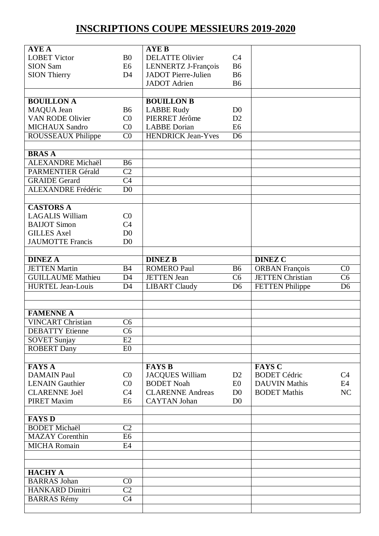## **INSCRIPTIONS COUPE MESSIEURS 2019-2020**

| <b>AYEA</b>               |                 | <b>AYE B</b>               |                |                         |                        |
|---------------------------|-----------------|----------------------------|----------------|-------------------------|------------------------|
| <b>LOBET Victor</b>       | B <sub>0</sub>  | <b>DELATTE Olivier</b>     | C <sub>4</sub> |                         |                        |
| <b>SION Sam</b>           | E6              | LENNERTZ J-François        | <b>B6</b>      |                         |                        |
| <b>SION Thierry</b>       | D <sub>4</sub>  | <b>JADOT</b> Pierre-Julien | <b>B6</b>      |                         |                        |
|                           |                 | <b>JADOT</b> Adrien        | <b>B6</b>      |                         |                        |
|                           |                 |                            |                |                         |                        |
| <b>BOUILLON A</b>         |                 | <b>BOUILLON B</b>          |                |                         |                        |
|                           | <b>B6</b>       |                            | D <sub>0</sub> |                         |                        |
| MAQUA Jean                |                 | <b>LABBE Rudy</b>          |                |                         |                        |
| <b>VAN RODE Olivier</b>   | C <sub>0</sub>  | PIERRET Jérôme             | D2             |                         |                        |
| <b>MICHAUX Sandro</b>     | C <sub>0</sub>  | <b>LABBE</b> Dorian        | E <sub>6</sub> |                         |                        |
| ROUSSEAUX Philippe        | C <sub>0</sub>  | <b>HENDRICK Jean-Yves</b>  | D <sub>6</sub> |                         |                        |
|                           |                 |                            |                |                         |                        |
| <b>BRASA</b>              |                 |                            |                |                         |                        |
| <b>ALEXANDRE Michaël</b>  | <b>B6</b>       |                            |                |                         |                        |
| <b>PARMENTIER Gérald</b>  | $\overline{C2}$ |                            |                |                         |                        |
| <b>GRAIDE</b> Gerard      | $\overline{C4}$ |                            |                |                         |                        |
| <b>ALEXANDRE</b> Frédéric | D <sub>0</sub>  |                            |                |                         |                        |
|                           |                 |                            |                |                         |                        |
| <b>CASTORS A</b>          |                 |                            |                |                         |                        |
| <b>LAGALIS William</b>    | CO              |                            |                |                         |                        |
|                           |                 |                            |                |                         |                        |
| <b>BAIJOT Simon</b>       | C <sub>4</sub>  |                            |                |                         |                        |
| <b>GILLES Axel</b>        | D <sub>0</sub>  |                            |                |                         |                        |
| <b>JAUMOTTE Francis</b>   | D <sub>0</sub>  |                            |                |                         |                        |
|                           |                 |                            |                |                         |                        |
| <b>DINEZ A</b>            |                 | <b>DINEZ B</b>             |                | <b>DINEZ C</b>          |                        |
| <b>JETTEN Martin</b>      | B <sub>4</sub>  | <b>ROMERO Paul</b>         | <b>B6</b>      | <b>ORBAN</b> François   | C <sub>0</sub>         |
| <b>GUILLAUME</b> Mathieu  | D <sub>4</sub>  | <b>JETTEN Jean</b>         | C <sub>6</sub> | <b>JETTEN Christian</b> | $\overline{\text{C6}}$ |
| <b>HURTEL Jean-Louis</b>  | D <sub>4</sub>  | <b>LIBART Claudy</b>       | D <sub>6</sub> | <b>FETTEN Philippe</b>  | $\overline{D6}$        |
|                           |                 |                            |                |                         |                        |
|                           |                 |                            |                |                         |                        |
| <b>FAMENNE A</b>          |                 |                            |                |                         |                        |
| <b>VINCART Christian</b>  | C <sub>6</sub>  |                            |                |                         |                        |
|                           |                 |                            |                |                         |                        |
| <b>DEBATTY</b> Etienne    | C <sub>6</sub>  |                            |                |                         |                        |
| <b>SOVET Sunjay</b>       | E2              |                            |                |                         |                        |
| <b>ROBERT Dany</b>        | E0              |                            |                |                         |                        |
|                           |                 |                            |                |                         |                        |
| <b>FAYS A</b>             |                 | <b>FAYS B</b>              |                | <b>FAYS C</b>           |                        |
| <b>DAMAIN Paul</b>        | C <sub>0</sub>  | <b>JACQUES William</b>     | D2             | <b>BODET</b> Cédric     | C4                     |
| <b>LENAIN Gauthier</b>    | C <sub>0</sub>  | <b>BODET</b> Noah          | E0             | <b>DAUVIN Mathis</b>    | E4                     |
| <b>CLARENNE Joël</b>      | C4              | <b>CLARENNE Andreas</b>    | D <sub>0</sub> | <b>BODET Mathis</b>     | NC                     |
| <b>PIRET Maxim</b>        | E <sub>6</sub>  | <b>CAYTAN Johan</b>        | D <sub>0</sub> |                         |                        |
|                           |                 |                            |                |                         |                        |
| <b>FAYS D</b>             |                 |                            |                |                         |                        |
| <b>BODET</b> Michaël      | $\overline{C2}$ |                            |                |                         |                        |
| <b>MAZAY</b> Corenthin    | E <sub>6</sub>  |                            |                |                         |                        |
| <b>MICHA Romain</b>       | E4              |                            |                |                         |                        |
|                           |                 |                            |                |                         |                        |
|                           |                 |                            |                |                         |                        |
|                           |                 |                            |                |                         |                        |
| <b>HACHY A</b>            |                 |                            |                |                         |                        |
| <b>BARRAS</b> Johan       | C <sub>0</sub>  |                            |                |                         |                        |
| <b>HANKARD Dimitri</b>    | $\overline{C2}$ |                            |                |                         |                        |
| <b>BARRAS Rémy</b>        | C <sub>4</sub>  |                            |                |                         |                        |
|                           |                 |                            |                |                         |                        |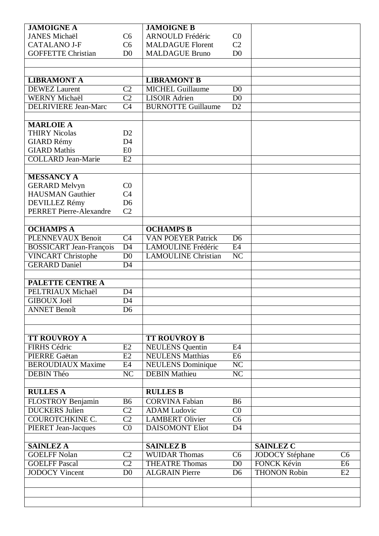| <b>JAMOIGNE A</b>              |                 | <b>JAMOIGNE B</b>          |                        |                     |                |
|--------------------------------|-----------------|----------------------------|------------------------|---------------------|----------------|
| <b>JANES Michaël</b>           | C <sub>6</sub>  | <b>ARNOULD Frédéric</b>    | C <sub>0</sub>         |                     |                |
| <b>CATALANO J-F</b>            | C <sub>6</sub>  | <b>MALDAGUE Florent</b>    | C <sub>2</sub>         |                     |                |
| <b>GOFFETTE Christian</b>      | D <sub>0</sub>  | <b>MALDAGUE Bruno</b>      | D <sub>0</sub>         |                     |                |
|                                |                 |                            |                        |                     |                |
|                                |                 |                            |                        |                     |                |
| <b>LIBRAMONT A</b>             |                 | <b>LIBRAMONT B</b>         |                        |                     |                |
| <b>DEWEZ</b> Laurent           | $\overline{C2}$ | <b>MICHEL Guillaume</b>    | D <sub>0</sub>         |                     |                |
| <b>WERNY Michaël</b>           | $\overline{C2}$ | <b>LISOIR Adrien</b>       | D <sub>0</sub>         |                     |                |
| <b>DELRIVIERE Jean-Marc</b>    | C <sub>4</sub>  | <b>BURNOTTE Guillaume</b>  | D2                     |                     |                |
|                                |                 |                            |                        |                     |                |
| <b>MARLOIE A</b>               |                 |                            |                        |                     |                |
| <b>THIRY Nicolas</b>           | D2              |                            |                        |                     |                |
| <b>GIARD Rémy</b>              | D <sub>4</sub>  |                            |                        |                     |                |
| <b>GIARD Mathis</b>            | E <sub>0</sub>  |                            |                        |                     |                |
| <b>COLLARD Jean-Marie</b>      | E2              |                            |                        |                     |                |
|                                |                 |                            |                        |                     |                |
| <b>MESSANCY A</b>              |                 |                            |                        |                     |                |
| <b>GERARD Melvyn</b>           | C <sub>0</sub>  |                            |                        |                     |                |
| <b>HAUSMAN</b> Gauthier        | C <sub>4</sub>  |                            |                        |                     |                |
| DEVILLEZ Rémy                  | D <sub>6</sub>  |                            |                        |                     |                |
| <b>PERRET Pierre-Alexandre</b> | C <sub>2</sub>  |                            |                        |                     |                |
| <b>OCHAMPS A</b>               |                 | <b>OCHAMPS B</b>           |                        |                     |                |
| <b>PLENNEVAUX Benoit</b>       | $\overline{C4}$ | <b>VAN POEYER Patrick</b>  | D <sub>6</sub>         |                     |                |
| <b>BOSSICART Jean-François</b> | $\overline{D4}$ | <b>LAMOULINE Frédéric</b>  | E4                     |                     |                |
| <b>VINCART Christophe</b>      | $\overline{D0}$ | <b>LAMOULINE Christian</b> | NC                     |                     |                |
| <b>GERARD Daniel</b>           | $\overline{D4}$ |                            |                        |                     |                |
|                                |                 |                            |                        |                     |                |
| <b>PALETTE CENTRE A</b>        |                 |                            |                        |                     |                |
| PELTRIAUX Michaël              | $\overline{D4}$ |                            |                        |                     |                |
| <b>GIBOUX Joël</b>             | D <sub>4</sub>  |                            |                        |                     |                |
| <b>ANNET Benoît</b>            | D <sub>6</sub>  |                            |                        |                     |                |
|                                |                 |                            |                        |                     |                |
|                                |                 |                            |                        |                     |                |
| <b>TT ROUVROY A</b>            |                 | <b>TT ROUVROY B</b>        |                        |                     |                |
| <b>FIRHS Cédric</b>            | E2              | <b>NEULENS</b> Quentin     | E4                     |                     |                |
| <b>PIERRE Gaëtan</b>           | E2              | <b>NEULENS Matthias</b>    | E6                     |                     |                |
| <b>BEROUDIAUX Maxime</b>       | E4              | <b>NEULENS</b> Dominique   | $\overline{\text{NC}}$ |                     |                |
| DEBIN Théo                     | NC              | <b>DEBIN Mathieu</b>       | $\overline{\text{NC}}$ |                     |                |
|                                |                 |                            |                        |                     |                |
| <b>RULLES A</b>                |                 | <b>RULLES B</b>            |                        |                     |                |
| FLOSTROY Benjamin              | <b>B6</b>       | <b>CORVINA Fabian</b>      | <b>B6</b>              |                     |                |
| <b>DUCKERS Julien</b>          | C <sub>2</sub>  | <b>ADAM</b> Ludovic        | $\overline{C}0$        |                     |                |
| <b>COUROTCHKINE C.</b>         | $\overline{C2}$ | <b>LAMBERT Olivier</b>     | C <sub>6</sub>         |                     |                |
| <b>PIERET Jean-Jacques</b>     | C <sub>0</sub>  | <b>DAISOMONT Eliot</b>     | D <sub>4</sub>         |                     |                |
|                                |                 |                            |                        |                     |                |
| <b>SAINLEZ A</b>               |                 | <b>SAINLEZ B</b>           |                        | <b>SAINLEZ C</b>    |                |
| <b>GOELFF Nolan</b>            | C <sub>2</sub>  | <b>WUIDAR Thomas</b>       | C6                     | JODOCY Stéphane     | C6             |
| <b>GOELFF Pascal</b>           | $\overline{C2}$ | <b>THEATRE Thomas</b>      | D <sub>0</sub>         | <b>FONCK Kévin</b>  | E <sub>6</sub> |
| <b>JODOCY Vincent</b>          | D <sub>0</sub>  | <b>ALGRAIN Pierre</b>      | D <sub>6</sub>         | <b>THONON Robin</b> | E2             |
|                                |                 |                            |                        |                     |                |
|                                |                 |                            |                        |                     |                |
|                                |                 |                            |                        |                     |                |
|                                |                 |                            |                        |                     |                |